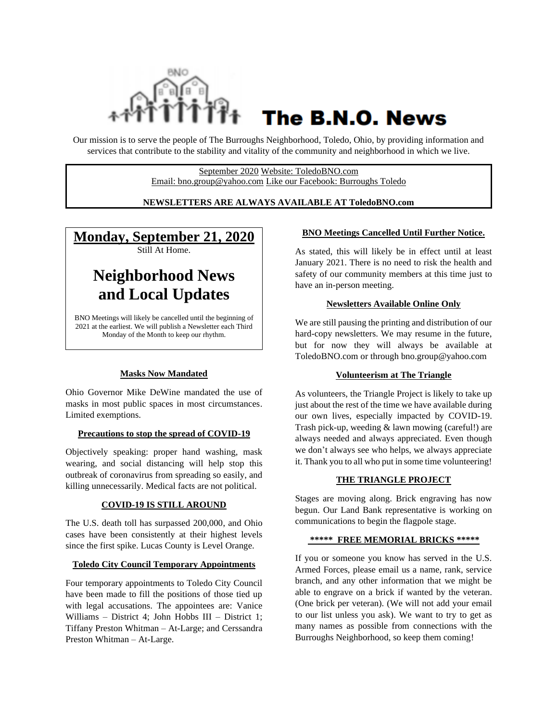

# The B.N.O. News

Our mission is to serve the people of The Burroughs Neighborhood, Toledo, Ohio, by providing information and services that contribute to the stability and vitality of the community and neighborhood in which we live.

> September 2020 Website: ToledoBNO.com Email: bno.group@yahoo.com Like our Facebook: Burroughs Toledo

#### **NEWSLETTERS ARE ALWAYS AVAILABLE AT ToledoBNO.com**

### **Monday, September 21, 2020**

Still At Home.

## **Neighborhood News and Local Updates**

BNO Meetings will likely be cancelled until the beginning of 2021 at the earliest. We will publish a Newsletter each Third Monday of the Month to keep our rhythm.

#### **Masks Now Mandated**

Ohio Governor Mike DeWine mandated the use of masks in most public spaces in most circumstances. Limited exemptions.

#### **Precautions to stop the spread of COVID-19**

Objectively speaking: proper hand washing, mask wearing, and social distancing will help stop this outbreak of coronavirus from spreading so easily, and killing unnecessarily. Medical facts are not political.

#### **COVID-19 IS STILL AROUND**

The U.S. death toll has surpassed 200,000, and Ohio cases have been consistently at their highest levels since the first spike. Lucas County is Level Orange.

#### **Toledo City Council Temporary Appointments**

Four temporary appointments to Toledo City Council have been made to fill the positions of those tied up with legal accusations. The appointees are: Vanice Williams – District 4; John Hobbs III – District 1; Tiffany Preston Whitman – At-Large; and Cerssandra Preston Whitman – At-Large.

#### **BNO Meetings Cancelled Until Further Notice.**

As stated, this will likely be in effect until at least January 2021. There is no need to risk the health and safety of our community members at this time just to have an in-person meeting.

#### **Newsletters Available Online Only**

We are still pausing the printing and distribution of our hard-copy newsletters. We may resume in the future, but for now they will always be available at ToledoBNO.com or through bno.group@yahoo.com

#### **Volunteerism at The Triangle**

As volunteers, the Triangle Project is likely to take up just about the rest of the time we have available during our own lives, especially impacted by COVID-19. Trash pick-up, weeding & lawn mowing (careful!) are always needed and always appreciated. Even though we don't always see who helps, we always appreciate it. Thank you to all who put in some time volunteering!

#### **THE TRIANGLE PROJECT**

Stages are moving along. Brick engraving has now begun. Our Land Bank representative is working on communications to begin the flagpole stage.

#### **\*\*\*\*\* FREE MEMORIAL BRICKS \*\*\*\*\***

If you or someone you know has served in the U.S. Armed Forces, please email us a name, rank, service branch, and any other information that we might be able to engrave on a brick if wanted by the veteran. (One brick per veteran). (We will not add your email to our list unless you ask). We want to try to get as many names as possible from connections with the Burroughs Neighborhood, so keep them coming!